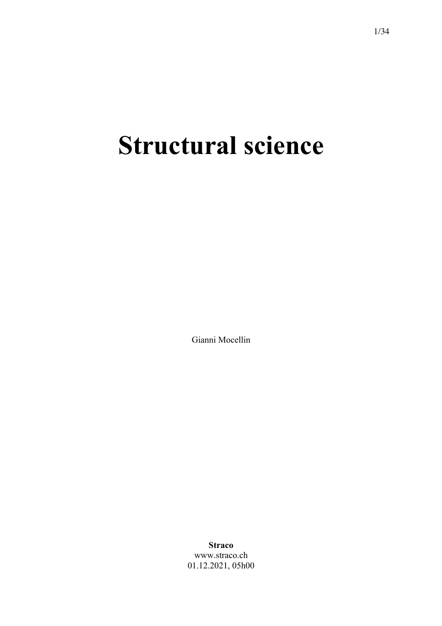# **Structural science**

Gianni Mocellin

**Straco** www.straco.ch 01.12.2021, 05h00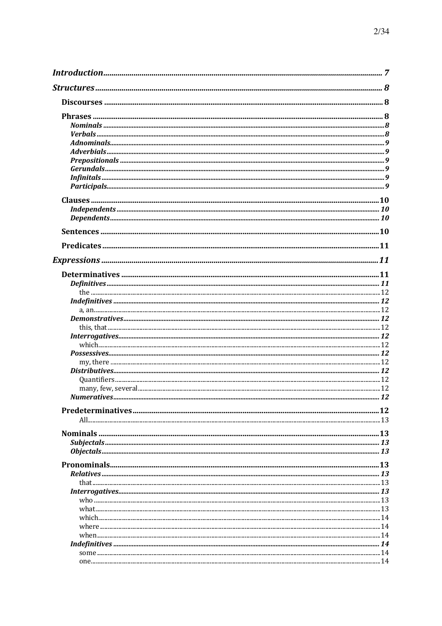| $\textit{Classes} \textit{} \textit{} \textit{} \textit{} \textit{} \textit{} \textit{} \textit{} \textit{} \textit{} \textit{} \textit{} \textit{} \textit{} \textit{} \textit{} \textit{} \textit{} \textit{} \textit{} \textit{} \textit{} \textit{} \textit{} \textit{} \textit{} \textit{} \textit{} \textit{} \textit{} \textit{} \textit{} \textit{} \textit{} \textit{} \textit{$ |  |
|-------------------------------------------------------------------------------------------------------------------------------------------------------------------------------------------------------------------------------------------------------------------------------------------------------------------------------------------------------------------------------------------|--|
|                                                                                                                                                                                                                                                                                                                                                                                           |  |
|                                                                                                                                                                                                                                                                                                                                                                                           |  |
|                                                                                                                                                                                                                                                                                                                                                                                           |  |
|                                                                                                                                                                                                                                                                                                                                                                                           |  |
|                                                                                                                                                                                                                                                                                                                                                                                           |  |
|                                                                                                                                                                                                                                                                                                                                                                                           |  |
|                                                                                                                                                                                                                                                                                                                                                                                           |  |
|                                                                                                                                                                                                                                                                                                                                                                                           |  |
|                                                                                                                                                                                                                                                                                                                                                                                           |  |
|                                                                                                                                                                                                                                                                                                                                                                                           |  |
|                                                                                                                                                                                                                                                                                                                                                                                           |  |
|                                                                                                                                                                                                                                                                                                                                                                                           |  |
|                                                                                                                                                                                                                                                                                                                                                                                           |  |
|                                                                                                                                                                                                                                                                                                                                                                                           |  |
|                                                                                                                                                                                                                                                                                                                                                                                           |  |
|                                                                                                                                                                                                                                                                                                                                                                                           |  |
|                                                                                                                                                                                                                                                                                                                                                                                           |  |
|                                                                                                                                                                                                                                                                                                                                                                                           |  |
|                                                                                                                                                                                                                                                                                                                                                                                           |  |
|                                                                                                                                                                                                                                                                                                                                                                                           |  |
|                                                                                                                                                                                                                                                                                                                                                                                           |  |
|                                                                                                                                                                                                                                                                                                                                                                                           |  |
|                                                                                                                                                                                                                                                                                                                                                                                           |  |
|                                                                                                                                                                                                                                                                                                                                                                                           |  |
|                                                                                                                                                                                                                                                                                                                                                                                           |  |
|                                                                                                                                                                                                                                                                                                                                                                                           |  |
|                                                                                                                                                                                                                                                                                                                                                                                           |  |
|                                                                                                                                                                                                                                                                                                                                                                                           |  |
|                                                                                                                                                                                                                                                                                                                                                                                           |  |
|                                                                                                                                                                                                                                                                                                                                                                                           |  |
|                                                                                                                                                                                                                                                                                                                                                                                           |  |
|                                                                                                                                                                                                                                                                                                                                                                                           |  |
|                                                                                                                                                                                                                                                                                                                                                                                           |  |
|                                                                                                                                                                                                                                                                                                                                                                                           |  |
|                                                                                                                                                                                                                                                                                                                                                                                           |  |
|                                                                                                                                                                                                                                                                                                                                                                                           |  |
|                                                                                                                                                                                                                                                                                                                                                                                           |  |
|                                                                                                                                                                                                                                                                                                                                                                                           |  |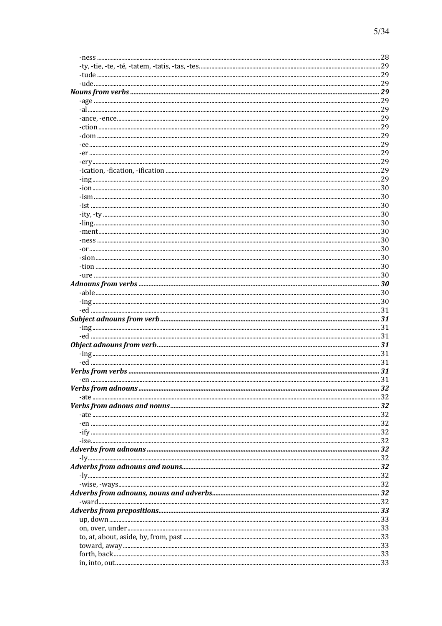| 32 |
|----|
|    |
|    |
|    |
|    |
|    |
|    |
|    |
|    |
|    |
|    |
|    |
|    |
|    |
|    |
|    |
|    |
|    |
|    |
|    |
|    |
|    |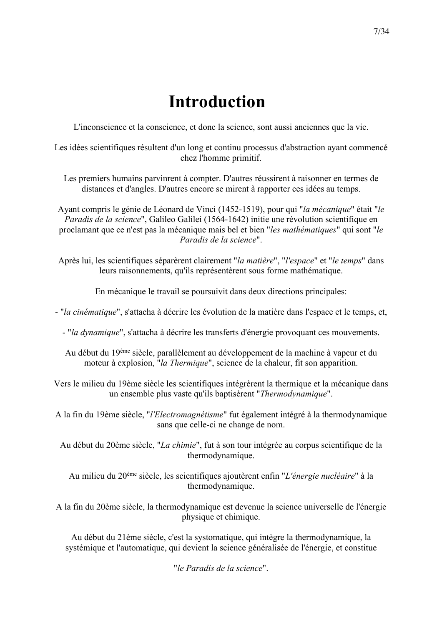# **Introduction**

L'inconscience et la conscience, et donc la science, sont aussi anciennes que la vie.

Les idées scientifiques résultent d'un long et continu processus d'abstraction ayant commencé chez l'homme primitif.

- Les premiers humains parvinrent à compter. D'autres réussirent à raisonner en termes de distances et d'angles. D'autres encore se mirent à rapporter ces idées au temps.
- Ayant compris le génie de Léonard de Vinci (1452-1519), pour qui "*la mécanique*" était "*le Paradis de la science*", Galileo Galilei (1564-1642) initie une révolution scientifique en proclamant que ce n'est pas la mécanique mais bel et bien "*les mathématiques*" qui sont "*le Paradis de la science*".
- Après lui, les scientifiques séparèrent clairement "*la matière*", "*l'espace*" et "*le temps*" dans leurs raisonnements, qu'ils représentèrent sous forme mathématique.

En mécanique le travail se poursuivit dans deux directions principales:

- "*la cinématique*", s'attacha à décrire les évolution de la matière dans l'espace et le temps, et,

- "*la dynamique*", s'attacha à décrire les transferts d'énergie provoquant ces mouvements.
- Au début du 19ème siècle, parallèlement au développement de la machine à vapeur et du moteur à explosion, "*la Thermique*", science de la chaleur, fit son apparition.

Vers le milieu du 19ème siècle les scientifiques intégrèrent la thermique et la mécanique dans un ensemble plus vaste qu'ils baptisèrent "*Thermodynamique*".

A la fin du 19ème siècle, "*l'Electromagnétisme*" fut également intégré à la thermodynamique sans que celle-ci ne change de nom.

Au début du 20ème siècle, "*La chimie*", fut à son tour intégrée au corpus scientifique de la thermodynamique.

Au milieu du 20ème siècle, les scientifiques ajoutèrent enfin "*L'énergie nucléaire*" à la thermodynamique.

A la fin du 20ème siècle, la thermodynamique est devenue la science universelle de l'énergie physique et chimique.

Au début du 21ème siècle, c'est la systomatique, qui intègre la thermodynamique, la systémique et l'automatique, qui devient la science généralisée de l'énergie, et constitue

"*le Paradis de la science*".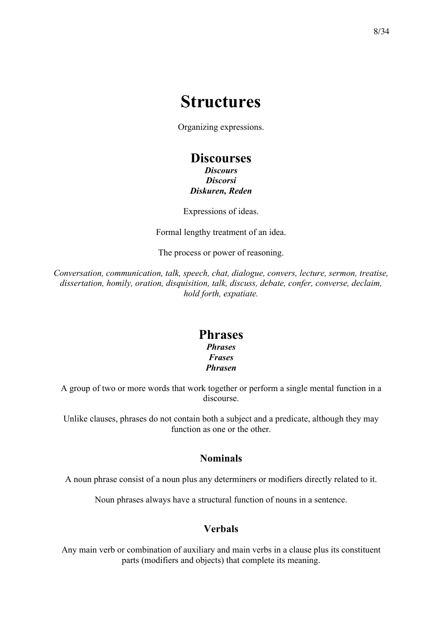## **Structures**

Organizing expressions.

### **Discourses**

*Discours Discorsi Diskuren, Reden*

Expressions of ideas.

Formal lengthy treatment of an idea.

The process or power of reasoning.

*Conversation, communication, talk, speech, chat, dialogue, convers, lecture, sermon, treatise, dissertation, homily, oration, disquisition, talk, discuss, debate, confer, converse, declaim, hold forth, expatiate.*

### **Phrases**

*Phrases Frases Phrasen*

A group of two or more words that work together or perform a single mental function in a discourse.

Unlike clauses, phrases do not contain both a subject and a predicate, although they may function as one or the other.

### **Nominals**

A noun phrase consist of a noun plus any determiners or modifiers directly related to it.

Noun phrases always have a structural function of nouns in a sentence.

### **Verbals**

Any main verb or combination of auxiliary and main verbs in a clause plus its constituent parts (modifiers and objects) that complete its meaning.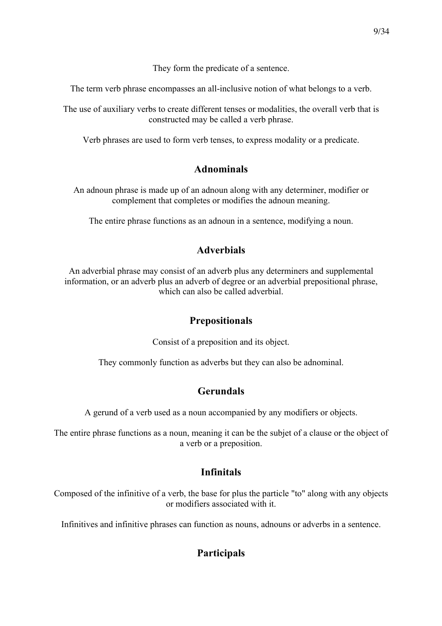They form the predicate of a sentence.

The term verb phrase encompasses an all-inclusive notion of what belongs to a verb.

The use of auxiliary verbs to create different tenses or modalities, the overall verb that is constructed may be called a verb phrase.

Verb phrases are used to form verb tenses, to express modality or a predicate.

### **Adnominals**

An adnoun phrase is made up of an adnoun along with any determiner, modifier or complement that completes or modifies the adnoun meaning.

The entire phrase functions as an adnoun in a sentence, modifying a noun.

### **Adverbials**

An adverbial phrase may consist of an adverb plus any determiners and supplemental information, or an adverb plus an adverb of degree or an adverbial prepositional phrase, which can also be called adverbial.

### **Prepositionals**

Consist of a preposition and its object.

They commonly function as adverbs but they can also be adnominal.

### **Gerundals**

A gerund of a verb used as a noun accompanied by any modifiers or objects.

The entire phrase functions as a noun, meaning it can be the subjet of a clause or the object of a verb or a preposition.

### **Infinitals**

Composed of the infinitive of a verb, the base for plus the particle "to" along with any objects or modifiers associated with it.

Infinitives and infinitive phrases can function as nouns, adnouns or adverbs in a sentence.

### **Participals**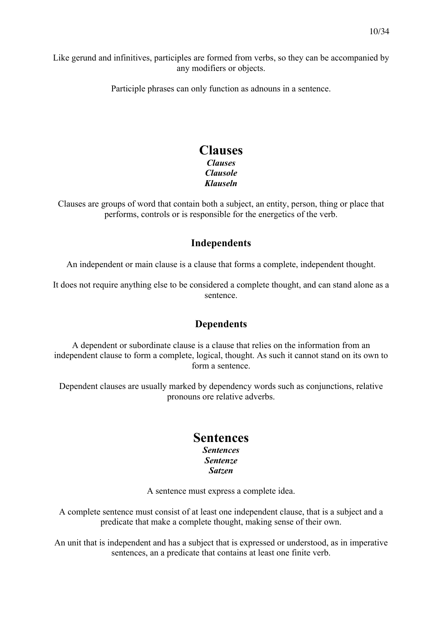Like gerund and infinitives, participles are formed from verbs, so they can be accompanied by any modifiers or objects.

Participle phrases can only function as adnouns in a sentence.

### **Clauses** *Clauses Clausole Klauseln*

Clauses are groups of word that contain both a subject, an entity, person, thing or place that performs, controls or is responsible for the energetics of the verb.

### **Independents**

An independent or main clause is a clause that forms a complete, independent thought.

It does not require anything else to be considered a complete thought, and can stand alone as a sentence.

### **Dependents**

A dependent or subordinate clause is a clause that relies on the information from an independent clause to form a complete, logical, thought. As such it cannot stand on its own to form a sentence.

Dependent clauses are usually marked by dependency words such as conjunctions, relative pronouns ore relative adverbs.

### **Sentences**

#### *Sentences Sentenze Satzen*

A sentence must express a complete idea.

A complete sentence must consist of at least one independent clause, that is a subject and a predicate that make a complete thought, making sense of their own.

An unit that is independent and has a subject that is expressed or understood, as in imperative sentences, an a predicate that contains at least one finite verb.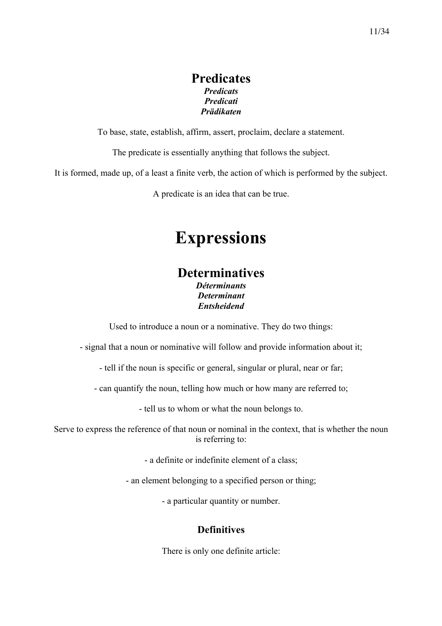### **Predicates** *Predicats Predicati Prädikaten*

To base, state, establish, affirm, assert, proclaim, declare a statement.

The predicate is essentially anything that follows the subject.

It is formed, made up, of a least a finite verb, the action of which is performed by the subject.

A predicate is an idea that can be true.

# **Expressions**

### **Determinatives**

*Déterminants Determinant Entsheidend*

Used to introduce a noun or a nominative. They do two things:

- signal that a noun or nominative will follow and provide information about it;

- tell if the noun is specific or general, singular or plural, near or far;

- can quantify the noun, telling how much or how many are referred to;

- tell us to whom or what the noun belongs to.

Serve to express the reference of that noun or nominal in the context, that is whether the noun is referring to:

- a definite or indefinite element of a class;

- an element belonging to a specified person or thing;

- a particular quantity or number.

### **Definitives**

There is only one definite article: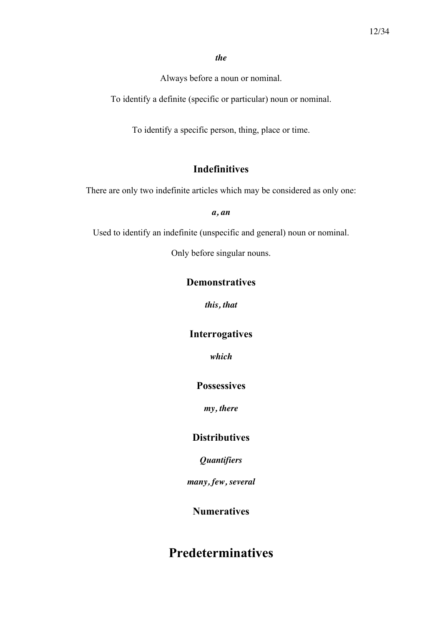#### *the*

Always before a noun or nominal.

To identify a definite (specific or particular) noun or nominal.

To identify a specific person, thing, place or time.

### **Indefinitives**

There are only two indefinite articles which may be considered as only one:

*a, an*

Used to identify an indefinite (unspecific and general) noun or nominal.

Only before singular nouns.

### **Demonstratives**

*this, that*

### **Interrogatives**

*which*

#### **Possessives**

*my, there*

### **Distributives**

*Quantifiers*

*many, few, several*

### **Numeratives**

### **Predeterminatives**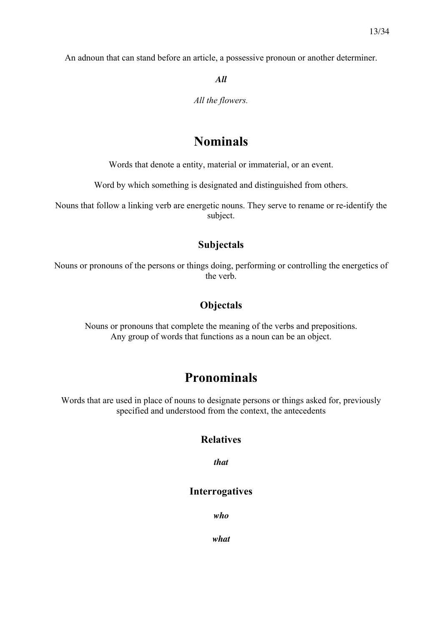An adnoun that can stand before an article, a possessive pronoun or another determiner.

*All*

*All the flowers.*

### **Nominals**

Words that denote a entity, material or immaterial, or an event.

Word by which something is designated and distinguished from others.

Nouns that follow a linking verb are energetic nouns. They serve to rename or re-identify the subject.

### **Subjectals**

Nouns or pronouns of the persons or things doing, performing or controlling the energetics of the verb.

### **Objectals**

Nouns or pronouns that complete the meaning of the verbs and prepositions. Any group of words that functions as a noun can be an object.

### **Pronominals**

Words that are used in place of nouns to designate persons or things asked for, previously specified and understood from the context, the antecedents

### **Relatives**

*that*

#### **Interrogatives**

*who*

*what*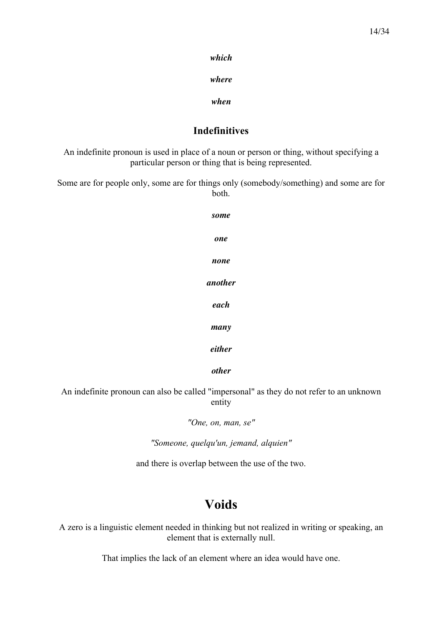*which*

*where*

*when*

### **Indefinitives**

An indefinite pronoun is used in place of a noun or person or thing, without specifying a particular person or thing that is being represented.

Some are for people only, some are for things only (somebody/something) and some are for both.

| some    |
|---------|
| one     |
| none    |
| another |
| each    |
| many    |
| either  |
| other   |

An indefinite pronoun can also be called "impersonal" as they do not refer to an unknown entity

*"One, on, man, se"*

*"Someone, quelqu'un, jemand, alquien"*

and there is overlap between the use of the two.

### **Voids**

A zero is a linguistic element needed in thinking but not realized in writing or speaking, an element that is externally null.

That implies the lack of an element where an idea would have one.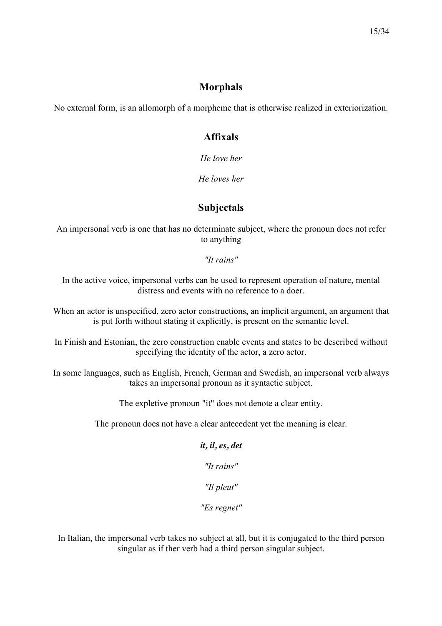### **Morphals**

No external form, is an allomorph of a morpheme that is otherwise realized in exteriorization.

### **Affixals**

*He love her*

*He loves her*

### **Subjectals**

An impersonal verb is one that has no determinate subject, where the pronoun does not refer to anything

*"It rains"*

In the active voice, impersonal verbs can be used to represent operation of nature, mental distress and events with no reference to a doer.

When an actor is unspecified, zero actor constructions, an implicit argument, an argument that is put forth without stating it explicitly, is present on the semantic level.

In Finish and Estonian, the zero construction enable events and states to be described without specifying the identity of the actor, a zero actor.

In some languages, such as English, French, German and Swedish, an impersonal verb always takes an impersonal pronoun as it syntactic subject.

The expletive pronoun "it" does not denote a clear entity.

The pronoun does not have a clear antecedent yet the meaning is clear.

# *it, il, es, det "It rains"*

*"Il pleut"*

*"Es regnet"*

In Italian, the impersonal verb takes no subject at all, but it is conjugated to the third person singular as if ther verb had a third person singular subject.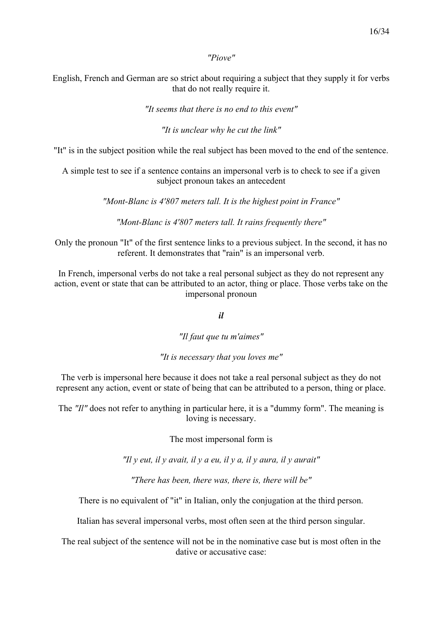*"Piove"*

English, French and German are so strict about requiring a subject that they supply it for verbs that do not really require it.

*"It seems that there is no end to this event"*

*"It is unclear why he cut the link"*

"It" is in the subject position while the real subject has been moved to the end of the sentence.

A simple test to see if a sentence contains an impersonal verb is to check to see if a given subject pronoun takes an antecedent

*"Mont-Blanc is 4'807 meters tall. It is the highest point in France"*

*"Mont-Blanc is 4'807 meters tall. It rains frequently there"*

Only the pronoun "It" of the first sentence links to a previous subject. In the second, it has no referent. It demonstrates that "rain" is an impersonal verb.

In French, impersonal verbs do not take a real personal subject as they do not represent any action, event or state that can be attributed to an actor, thing or place. Those verbs take on the impersonal pronoun

*il*

*"Il faut que tu m'aimes"*

*"It is necessary that you loves me"*

The verb is impersonal here because it does not take a real personal subject as they do not represent any action, event or state of being that can be attributed to a person, thing or place.

The *"Il"* does not refer to anything in particular here, it is a "dummy form". The meaning is loving is necessary.

The most impersonal form is

*"Il y eut, il y avait, il y a eu, il y a, il y aura, il y aurait"*

*"There has been, there was, there is, there will be"*

There is no equivalent of "it" in Italian, only the conjugation at the third person.

Italian has several impersonal verbs, most often seen at the third person singular.

The real subject of the sentence will not be in the nominative case but is most often in the dative or accusative case: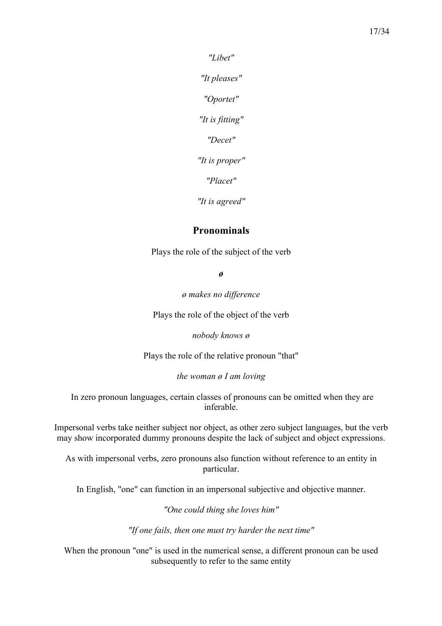*"Libet"*

*"It pleases"*

*"Oportet"*

*"It is fitting"*

*"Decet"*

*"It is proper"*

*"Placet"*

*"It is agreed"*

### **Pronominals**

Plays the role of the subject of the verb

*ø*

*ø makes no difference*

Plays the role of the object of the verb

*nobody knows ø*

Plays the role of the relative pronoun "that"

*the woman ø I am loving*

In zero pronoun languages, certain classes of pronouns can be omitted when they are inferable.

Impersonal verbs take neither subject nor object, as other zero subject languages, but the verb may show incorporated dummy pronouns despite the lack of subject and object expressions.

As with impersonal verbs, zero pronouns also function without reference to an entity in particular.

In English, "one" can function in an impersonal subjective and objective manner.

*"One could thing she loves him"*

*"If one fails, then one must try harder the next time"*

When the pronoun "one" is used in the numerical sense, a different pronoun can be used subsequently to refer to the same entity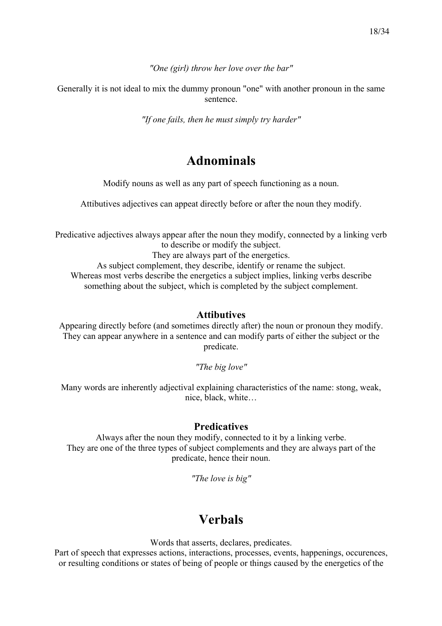*"One (girl) throw her love over the bar"*

Generally it is not ideal to mix the dummy pronoun "one" with another pronoun in the same sentence.

*"If one fails, then he must simply try harder"*

### **Adnominals**

Modify nouns as well as any part of speech functioning as a noun.

Attibutives adjectives can appeat directly before or after the noun they modify.

Predicative adjectives always appear after the noun they modify, connected by a linking verb to describe or modify the subject.

They are always part of the energetics. As subject complement, they describe, identify or rename the subject. Whereas most verbs describe the energetics a subject implies, linking verbs describe something about the subject, which is completed by the subject complement.

#### **Attibutives**

Appearing directly before (and sometimes directly after) the noun or pronoun they modify. They can appear anywhere in a sentence and can modify parts of either the subject or the predicate.

*"The big love"*

Many words are inherently adjectival explaining characteristics of the name: stong, weak, nice, black, white…

#### **Predicatives**

Always after the noun they modify, connected to it by a linking verbe. They are one of the three types of subject complements and they are always part of the predicate, hence their noun.

*"The love is big"*

### **Verbals**

Words that asserts, declares, predicates.

Part of speech that expresses actions, interactions, processes, events, happenings, occurences, or resulting conditions or states of being of people or things caused by the energetics of the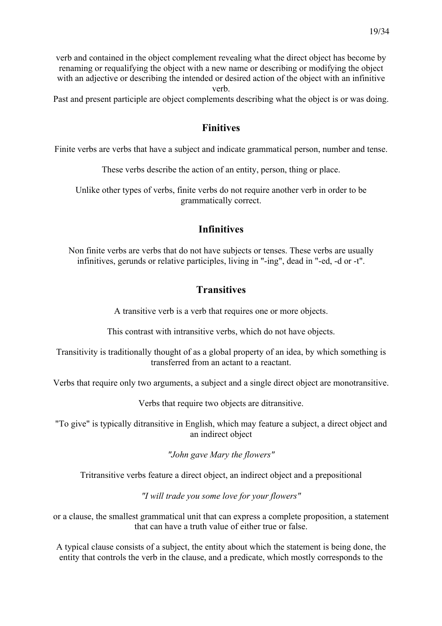verb and contained in the object complement revealing what the direct object has become by renaming or requalifying the object with a new name or describing or modifying the object with an adjective or describing the intended or desired action of the object with an infinitive verb.

Past and present participle are object complements describing what the object is or was doing.

### **Finitives**

Finite verbs are verbs that have a subject and indicate grammatical person, number and tense.

These verbs describe the action of an entity, person, thing or place.

Unlike other types of verbs, finite verbs do not require another verb in order to be grammatically correct.

### **Infinitives**

Non finite verbs are verbs that do not have subjects or tenses. These verbs are usually infinitives, gerunds or relative participles, living in "-ing", dead in "-ed, -d or -t".

### **Transitives**

A transitive verb is a verb that requires one or more objects.

This contrast with intransitive verbs, which do not have objects.

Transitivity is traditionally thought of as a global property of an idea, by which something is transferred from an actant to a reactant.

Verbs that require only two arguments, a subject and a single direct object are monotransitive.

Verbs that require two objects are ditransitive.

"To give" is typically ditransitive in English, which may feature a subject, a direct object and an indirect object

*"John gave Mary the flowers"*

Tritransitive verbs feature a direct object, an indirect object and a prepositional

*"I will trade you some love for your flowers"*

or a clause, the smallest grammatical unit that can express a complete proposition, a statement that can have a truth value of either true or false.

A typical clause consists of a subject, the entity about which the statement is being done, the entity that controls the verb in the clause, and a predicate, which mostly corresponds to the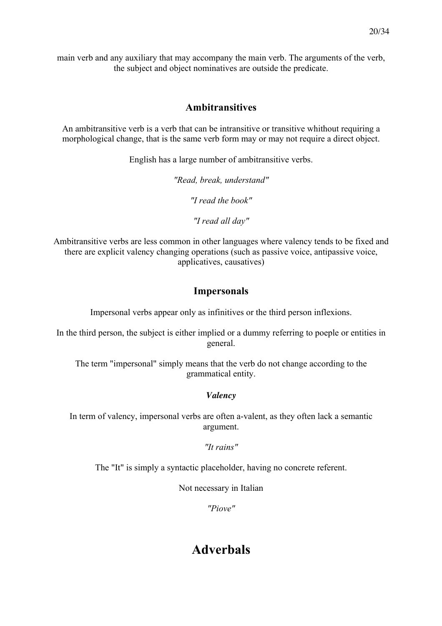main verb and any auxiliary that may accompany the main verb. The arguments of the verb, the subject and object nominatives are outside the predicate.

### **Ambitransitives**

An ambitransitive verb is a verb that can be intransitive or transitive whithout requiring a morphological change, that is the same verb form may or may not require a direct object.

English has a large number of ambitransitive verbs.

*"Read, break, understand"*

*"I read the book"*

*"I read all day"*

Ambitransitive verbs are less common in other languages where valency tends to be fixed and there are explicit valency changing operations (such as passive voice, antipassive voice, applicatives, causatives)

### **Impersonals**

Impersonal verbs appear only as infinitives or the third person inflexions.

In the third person, the subject is either implied or a dummy referring to poeple or entities in general.

The term "impersonal" simply means that the verb do not change according to the grammatical entity.

### *Valency*

In term of valency, impersonal verbs are often a-valent, as they often lack a semantic argument.

*"It rains"*

The "It" is simply a syntactic placeholder, having no concrete referent.

Not necessary in Italian

*"Piove"*

### **Adverbals**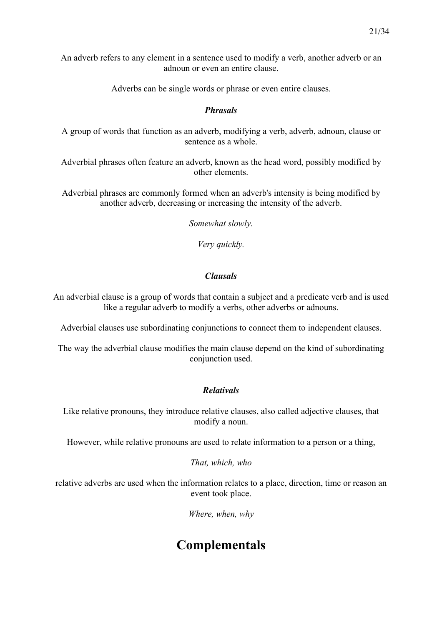An adverb refers to any element in a sentence used to modify a verb, another adverb or an adnoun or even an entire clause.

Adverbs can be single words or phrase or even entire clauses.

#### *Phrasals*

A group of words that function as an adverb, modifying a verb, adverb, adnoun, clause or sentence as a whole.

Adverbial phrases often feature an adverb, known as the head word, possibly modified by other elements.

Adverbial phrases are commonly formed when an adverb's intensity is being modified by another adverb, decreasing or increasing the intensity of the adverb.

*Somewhat slowly.*

*Very quickly.*

#### *Clausals*

An adverbial clause is a group of words that contain a subject and a predicate verb and is used like a regular adverb to modify a verbs, other adverbs or adnouns.

Adverbial clauses use subordinating conjunctions to connect them to independent clauses.

The way the adverbial clause modifies the main clause depend on the kind of subordinating conjunction used.

### *Relativals*

Like relative pronouns, they introduce relative clauses, also called adjective clauses, that modify a noun.

However, while relative pronouns are used to relate information to a person or a thing,

*That, which, who*

relative adverbs are used when the information relates to a place, direction, time or reason an event took place.

*Where, when, why*

### **Complementals**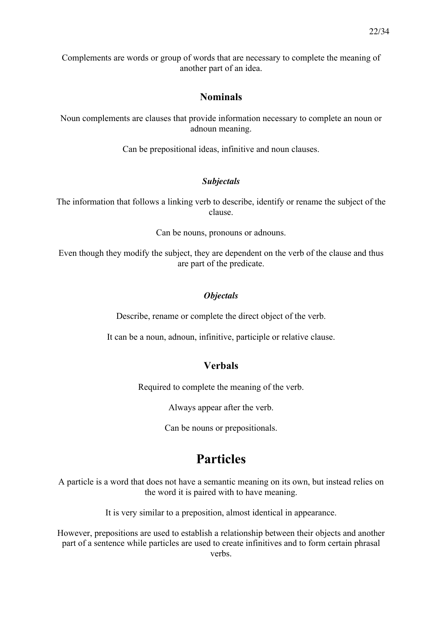Complements are words or group of words that are necessary to complete the meaning of another part of an idea.

### **Nominals**

Noun complements are clauses that provide information necessary to complete an noun or adnoun meaning.

Can be prepositional ideas, infinitive and noun clauses.

### *Subjectals*

The information that follows a linking verb to describe, identify or rename the subject of the clause.

Can be nouns, pronouns or adnouns.

Even though they modify the subject, they are dependent on the verb of the clause and thus are part of the predicate.

### *Objectals*

Describe, rename or complete the direct object of the verb.

It can be a noun, adnoun, infinitive, participle or relative clause.

### **Verbals**

Required to complete the meaning of the verb.

Always appear after the verb.

Can be nouns or prepositionals.

### **Particles**

A particle is a word that does not have a semantic meaning on its own, but instead relies on the word it is paired with to have meaning.

It is very similar to a preposition, almost identical in appearance.

However, prepositions are used to establish a relationship between their objects and another part of a sentence while particles are used to create infinitives and to form certain phrasal verbs.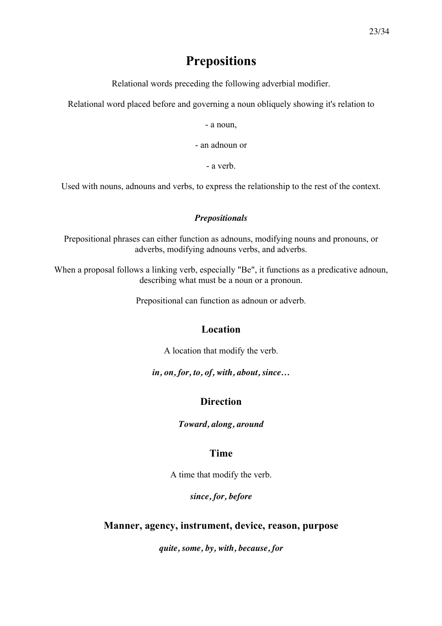### **Prepositions**

Relational words preceding the following adverbial modifier.

Relational word placed before and governing a noun obliquely showing it's relation to

- a noun,

- an adnoun or

- a verb.

Used with nouns, adnouns and verbs, to express the relationship to the rest of the context.

#### *Prepositionals*

Prepositional phrases can either function as adnouns, modifying nouns and pronouns, or adverbs, modifying adnouns verbs, and adverbs.

When a proposal follows a linking verb, especially "Be", it functions as a predicative adnoun, describing what must be a noun or a pronoun.

Prepositional can function as adnoun or adverb.

### **Location**

A location that modify the verb.

*in, on, for, to, of, with, about, since…*

### **Direction**

*Toward, along, around*

### **Time**

A time that modify the verb.

*since, for, before*

### **Manner, agency, instrument, device, reason, purpose**

*quite, some, by, with, because, for*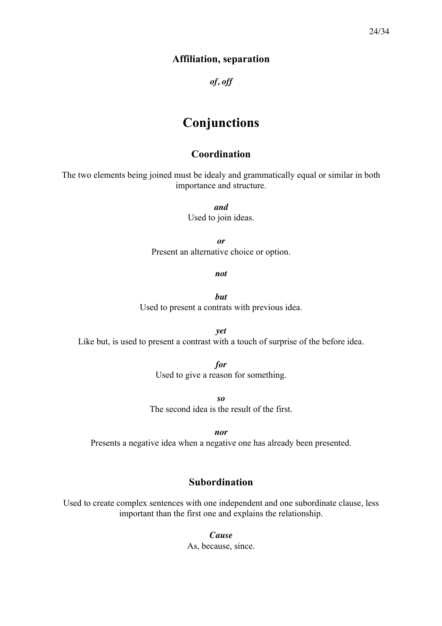### **Affiliation, separation**

*of, off*

### **Conjunctions**

### **Coordination**

The two elements being joined must be idealy and grammatically equal or similar in both importance and structure.

> *and* Used to join ideas.

*or* Present an alternative choice or option.

*not*

*but* Used to present a contrats with previous idea.

*yet* Like but, is used to present a contrast with a touch of surprise of the before idea.

> *for* Used to give a reason for something.

*so* The second idea is the result of the first.

*nor*

Presents a negative idea when a negative one has already been presented.

### **Subordination**

Used to create complex sentences with one independent and one subordinate clause, less important than the first one and explains the relationship.

> *Cause* As, because, since.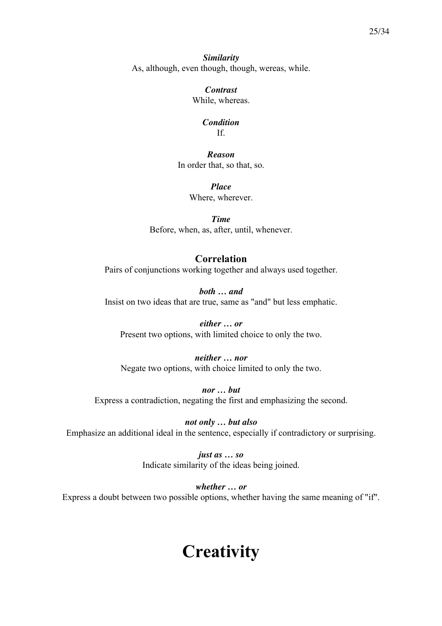*Similarity* As, although, even though, though, wereas, while.

> *Contrast* While, whereas.

#### *Condition* If.

*Reason* In order that, so that, so.

> *Place* Where, wherever.

*Time* Before, when, as, after, until, whenever.

### **Correlation**

Pairs of conjunctions working together and always used together.

*both … and* Insist on two ideas that are true, same as "and" but less emphatic.

*either … or* Present two options, with limited choice to only the two.

#### *neither … nor* Negate two options, with choice limited to only the two.

*nor … but* Express a contradiction, negating the first and emphasizing the second.

*not only … but also* Emphasize an additional ideal in the sentence, especially if contradictory or surprising.

> *just as … so* Indicate similarity of the ideas being joined.

*whether … or* Express a doubt between two possible options, whether having the same meaning of "if".

# **Creativity**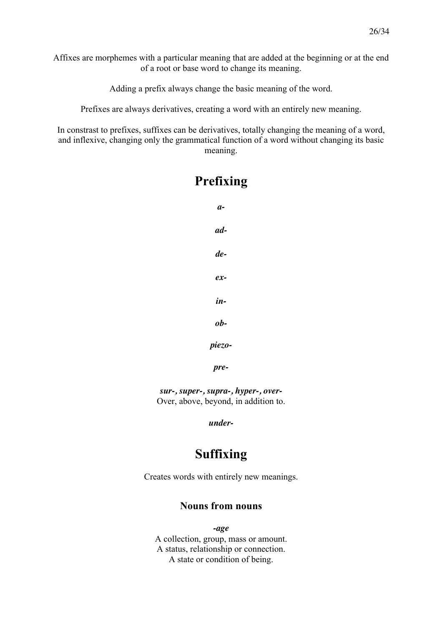Affixes are morphemes with a particular meaning that are added at the beginning or at the end of a root or base word to change its meaning.

Adding a prefix always change the basic meaning of the word.

Prefixes are always derivatives, creating a word with an entirely new meaning.

In constrast to prefixes, suffixes can be derivatives, totally changing the meaning of a word, and inflexive, changing only the grammatical function of a word without changing its basic meaning.

**Prefixing**

# *aaddeexinobpiezopre-*

*sur-, super-, supra-, hyper-, over-*Over, above, beyond, in addition to.

*under-*

### **Suffixing**

Creates words with entirely new meanings.

### **Nouns from nouns**

*-age* A collection, group, mass or amount. A status, relationship or connection. A state or condition of being.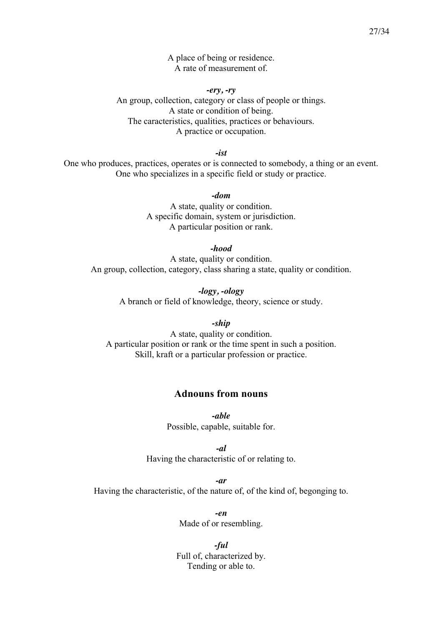A place of being or residence. A rate of measurement of.

*-ery, -ry* An group, collection, category or class of people or things. A state or condition of being. The caracteristics, qualities, practices or behaviours. A practice or occupation.

*-ist*

One who produces, practices, operates or is connected to somebody, a thing or an event. One who specializes in a specific field or study or practice.

*-dom*

A state, quality or condition. A specific domain, system or jurisdiction. A particular position or rank.

*-hood*

A state, quality or condition. An group, collection, category, class sharing a state, quality or condition.

> *-logy, -ology* A branch or field of knowledge, theory, science or study.

*-ship* A state, quality or condition. A particular position or rank or the time spent in such a position. Skill, kraft or a particular profession or practice.

### **Adnouns from nouns**

*-able* Possible, capable, suitable for.

*-al* Having the characteristic of or relating to.

*-ar* Having the characteristic, of the nature of, of the kind of, begonging to.

> *-en* Made of or resembling.

*-ful* Full of, characterized by. Tending or able to.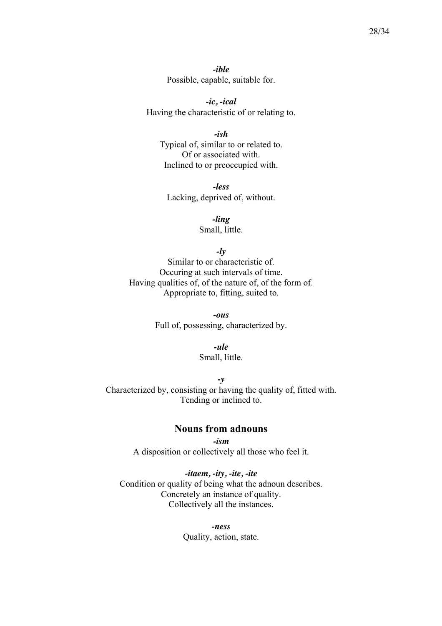*-ible* Possible, capable, suitable for.

*-ic, -ical* Having the characteristic of or relating to.

*-ish* Typical of, similar to or related to. Of or associated with. Inclined to or preoccupied with.

*-less* Lacking, deprived of, without.

> *-ling* Small, little.

> > *-ly*

Similar to or characteristic of. Occuring at such intervals of time. Having qualities of, of the nature of, of the form of. Appropriate to, fitting, suited to.

> *-ous* Full of, possessing, characterized by.

> > *-ule*

Small, little.

*-y* Characterized by, consisting or having the quality of, fitted with. Tending or inclined to.

### **Nouns from adnouns**

*-ism* A disposition or collectively all those who feel it.

*-itaem, -ity, -ite, -ite* Condition or quality of being what the adnoun describes. Concretely an instance of quality. Collectively all the instances.

> *-ness* Quality, action, state.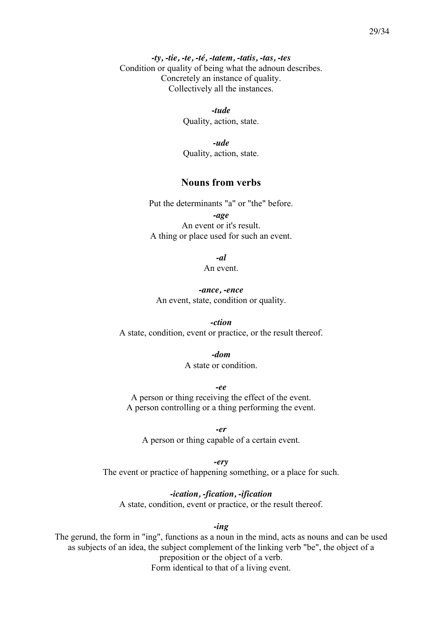*-ty, -tie, -te, -té, -tatem, -tatis, -tas, -tes* Condition or quality of being what the adnoun describes. Concretely an instance of quality. Collectively all the instances.

> *-tude* Quality, action, state.

> *-ude* Quality, action, state.

#### **Nouns from verbs**

Put the determinants "a" or "the" before.

*-age* An event or it's result. A thing or place used for such an event.

*-al*

An event.

*-ance, -ence* An event, state, condition or quality.

*-ction* A state, condition, event or practice, or the result thereof.

> *-dom* A state or condition.

*-ee* A person or thing receiving the effect of the event. A person controlling or a thing performing the event.

*-er* A person or thing capable of a certain event.

*-ery* The event or practice of happening something, or a place for such.

*-ication, -fication, -ification* A state, condition, event or practice, or the result thereof.

*-ing*

The gerund, the form in "ing", functions as a noun in the mind, acts as nouns and can be used as subjects of an idea, the subject complement of the linking verb "be", the object of a preposition or the object of a verb. Form identical to that of a living event.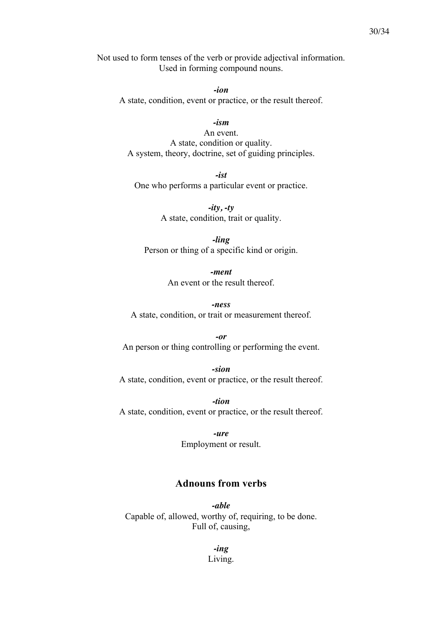Not used to form tenses of the verb or provide adjectival information. Used in forming compound nouns.

*-ion* A state, condition, event or practice, or the result thereof.

*-ism*

An event. A state, condition or quality. A system, theory, doctrine, set of guiding principles.

*-ist* One who performs a particular event or practice.

> *-ity, -ty* A state, condition, trait or quality.

*-ling* Person or thing of a specific kind or origin.

> *-ment* An event or the result thereof.

*-ness* A state, condition, or trait or measurement thereof.

*-or* An person or thing controlling or performing the event.

*-sion* A state, condition, event or practice, or the result thereof.

*-tion* A state, condition, event or practice, or the result thereof.

> *-ure* Employment or result.

### **Adnouns from verbs**

*-able* Capable of, allowed, worthy of, requiring, to be done. Full of, causing,

> *-ing* Living.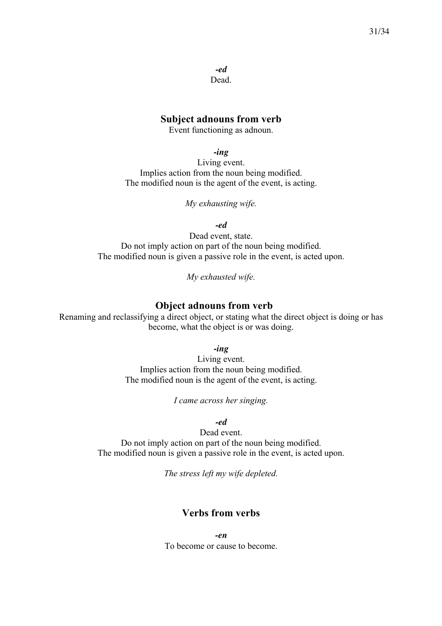*-ed* Dead.

#### **Subject adnouns from verb**

Event functioning as adnoun.

*-ing*

Living event. Implies action from the noun being modified. The modified noun is the agent of the event, is acting.

*My exhausting wife.*

*-ed*

Dead event, state. Do not imply action on part of the noun being modified. The modified noun is given a passive role in the event, is acted upon.

*My exhausted wife.*

### **Object adnouns from verb**

Renaming and reclassifying a direct object, or stating what the direct object is doing or has become, what the object is or was doing.

*-ing*

Living event. Implies action from the noun being modified. The modified noun is the agent of the event, is acting.

*I came across her singing.*

#### *-ed*

Dead event. Do not imply action on part of the noun being modified. The modified noun is given a passive role in the event, is acted upon.

*The stress left my wife depleted.*

### **Verbs from verbs**

*-en* To become or cause to become.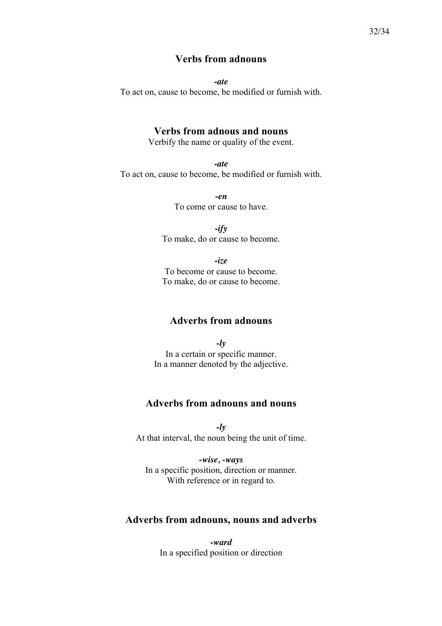### **Verbs from adnouns**

*-ate*

To act on, cause to become, be modified or furnish with.

### **Verbs from adnous and nouns**

Verbify the name or quality of the event.

*-ate* To act on, cause to become, be modified or furnish with.

> *-en* To come or cause to have.

*-ify* To make, do or cause to become.

*-ize* To become or cause to become. To make, do or cause to become.

### **Adverbs from adnouns**

*-ly* In a certain or specific manner. In a manner denoted by the adjective.

### **Adverbs from adnouns and nouns**

*-ly* At that interval, the noun being the unit of time.

*-wise, -ways* In a specific position, direction or manner. With reference or in regard to.

### **Adverbs from adnouns, nouns and adverbs**

*-ward* In a specified position or direction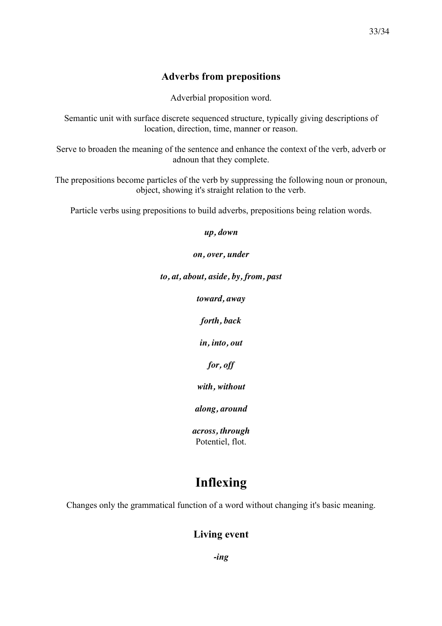### **Adverbs from prepositions**

Adverbial proposition word.

Semantic unit with surface discrete sequenced structure, typically giving descriptions of location, direction, time, manner or reason.

Serve to broaden the meaning of the sentence and enhance the context of the verb, adverb or adnoun that they complete.

The prepositions become particles of the verb by suppressing the following noun or pronoun, object, showing it's straight relation to the verb.

Particle verbs using prepositions to build adverbs, prepositions being relation words.

*up, down*

*on, over, under*

*to, at, about, aside, by, from, past*

*toward, away*

*forth, back*

*in, into, out*

*for, off*

*with, without*

*along, around*

*across, through* Potentiel, flot.

### **Inflexing**

Changes only the grammatical function of a word without changing it's basic meaning.

### **Living event**